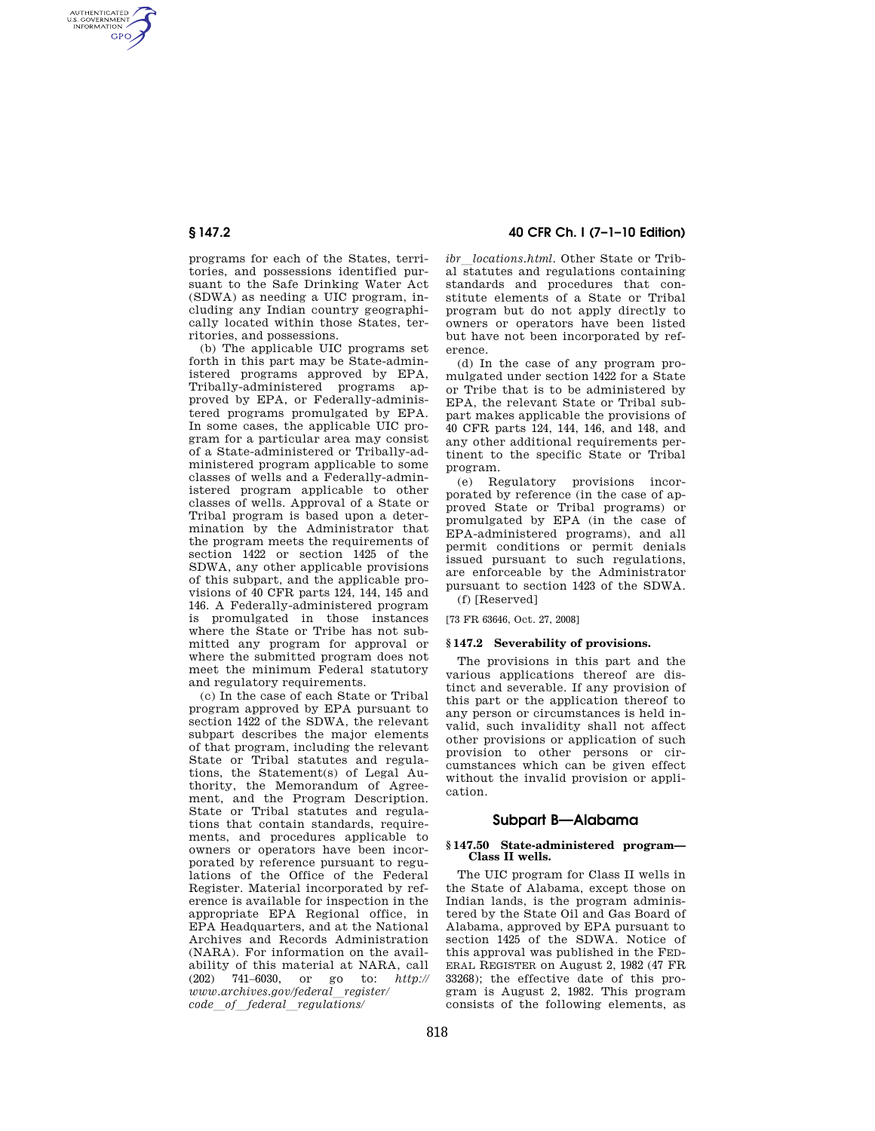AUTHENTICATED<br>U.S. GOVERNMENT<br>INFORMATION **GPO** 

> programs for each of the States, territories, and possessions identified pursuant to the Safe Drinking Water Act (SDWA) as needing a UIC program, including any Indian country geographically located within those States, territories, and possessions.

> (b) The applicable UIC programs set forth in this part may be State-administered programs approved by EPA, Tribally-administered programs approved by EPA, or Federally-administered programs promulgated by EPA. In some cases, the applicable UIC program for a particular area may consist of a State-administered or Tribally-administered program applicable to some classes of wells and a Federally-administered program applicable to other classes of wells. Approval of a State or Tribal program is based upon a determination by the Administrator that the program meets the requirements of section 1422 or section 1425 of the SDWA, any other applicable provisions of this subpart, and the applicable provisions of 40 CFR parts 124, 144, 145 and 146. A Federally-administered program is promulgated in those instances where the State or Tribe has not submitted any program for approval or where the submitted program does not meet the minimum Federal statutory and regulatory requirements.

> (c) In the case of each State or Tribal program approved by EPA pursuant to section 1422 of the SDWA, the relevant subpart describes the major elements of that program, including the relevant State or Tribal statutes and regulations, the Statement(s) of Legal Authority, the Memorandum of Agreement, and the Program Description. State or Tribal statutes and regulations that contain standards, requirements, and procedures applicable to owners or operators have been incorporated by reference pursuant to regulations of the Office of the Federal Register. Material incorporated by reference is available for inspection in the appropriate EPA Regional office, in EPA Headquarters, and at the National Archives and Records Administration (NARA). For information on the availability of this material at NARA, call (202) 741–6030, or go to: *http:// www.archives.gov/federal*l*register/ code*l*of*l*federal*l*regulations/*

# **§ 147.2 40 CFR Ch. I (7–1–10 Edition)**

*ibr locations.html*. Other State or Tribal statutes and regulations containing standards and procedures that constitute elements of a State or Tribal program but do not apply directly to owners or operators have been listed but have not been incorporated by reference.

(d) In the case of any program promulgated under section 1422 for a State or Tribe that is to be administered by EPA, the relevant State or Tribal subpart makes applicable the provisions of 40 CFR parts 124, 144, 146, and 148, and any other additional requirements pertinent to the specific State or Tribal program.

(e) Regulatory provisions incorporated by reference (in the case of approved State or Tribal programs) or promulgated by EPA (in the case of EPA-administered programs), and all permit conditions or permit denials issued pursuant to such regulations, are enforceable by the Administrator pursuant to section 1423 of the SDWA.

(f) [Reserved]

[73 FR 63646, Oct. 27, 2008]

## **§ 147.2 Severability of provisions.**

The provisions in this part and the various applications thereof are distinct and severable. If any provision of this part or the application thereof to any person or circumstances is held invalid, such invalidity shall not affect other provisions or application of such provision to other persons or circumstances which can be given effect without the invalid provision or application.

## **Subpart B—Alabama**

### **§ 147.50 State-administered program— Class II wells.**

The UIC program for Class II wells in the State of Alabama, except those on Indian lands, is the program administered by the State Oil and Gas Board of Alabama, approved by EPA pursuant to section 1425 of the SDWA. Notice of this approval was published in the FED-ERAL REGISTER on August 2, 1982 (47 FR 33268); the effective date of this program is August 2, 1982. This program consists of the following elements, as